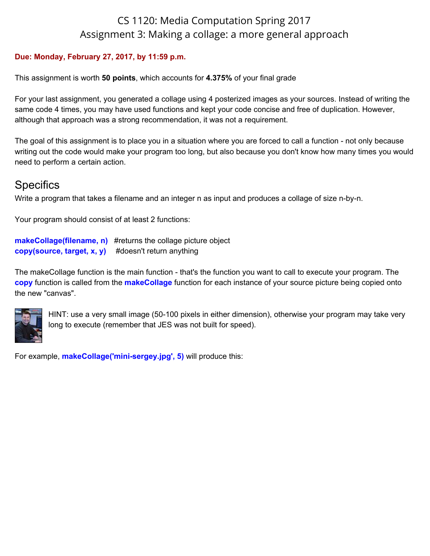# CS 1120: Media Computation Spring 2017 Assignment 3: Making a collage: a more general approach

#### **Due: Monday, February 27, 2017, by 11:59 p.m.**

This assignment is worth **50 points**, which accounts for **4.375%** of your final grade

For your last assignment, you generated a collage using 4 posterized images as your sources. Instead of writing the same code 4 times, you may have used functions and kept your code concise and free of duplication. However, although that approach was a strong recommendation, it was not a requirement.

The goal of this assignment is to place you in a situation where you are forced to call a function - not only because writing out the code would make your program too long, but also because you don't know how many times you would need to perform a certain action.

## **Specifics**

Write a program that takes a filename and an integer n as input and produces a collage of size n-by-n.

Your program should consist of at least 2 functions:

**makeCollage(filename, n)** #returns the collage picture object **copy(source, target, x, y)** #doesn't return anything

The makeCollage function is the main function - that's the function you want to call to execute your program. The **copy** function is called from the **makeCollage** function for each instance of your source picture being copied onto the new "canvas".



HINT: use a very small image (50-100 pixels in either dimension), otherwise your program may take very long to execute (remember that JES was not built for speed).

For example, **makeCollage('mini-sergey.jpg', 5)** will produce this: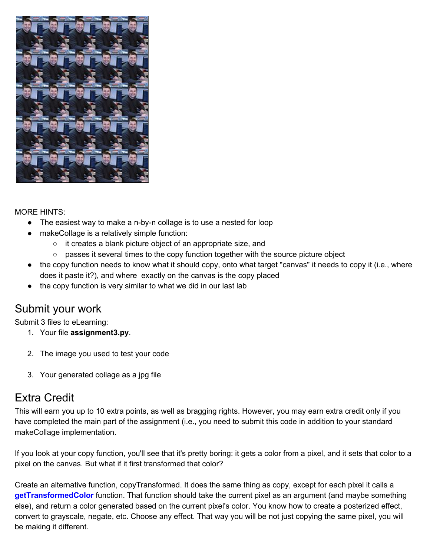

#### MORE HINTS:

- The easiest way to make a n-by-n collage is to use a nested for loop
- makeCollage is a relatively simple function:
	- it creates a blank picture object of an appropriate size, and
	- passes it several times to the copy function together with the source picture object
- the copy function needs to know what it should copy, onto what target "canvas" it needs to copy it (i.e., where does it paste it?), and where exactly on the canvas is the copy placed
- the copy function is very similar to what we did in our last lab

## Submit your work

Submit 3 files to eLearning:

- 1. Your file **assignment3.py**.
- 2. The image you used to test your code
- 3. Your generated collage as a jpg file

# Extra Credit

This will earn you up to 10 extra points, as well as bragging rights. However, you may earn extra credit only if you have completed the main part of the assignment (i.e., you need to submit this code in addition to your standard makeCollage implementation.

If you look at your copy function, you'll see that it's pretty boring: it gets a color from a pixel, and it sets that color to a pixel on the canvas. But what if it first transformed that color?

Create an alternative function, copyTransformed. It does the same thing as copy, except for each pixel it calls a **getTransformedColor** function. That function should take the current pixel as an argument (and maybe something else), and return a color generated based on the current pixel's color. You know how to create a posterized effect, convert to grayscale, negate, etc. Choose any effect. That way you will be not just copying the same pixel, you will be making it different.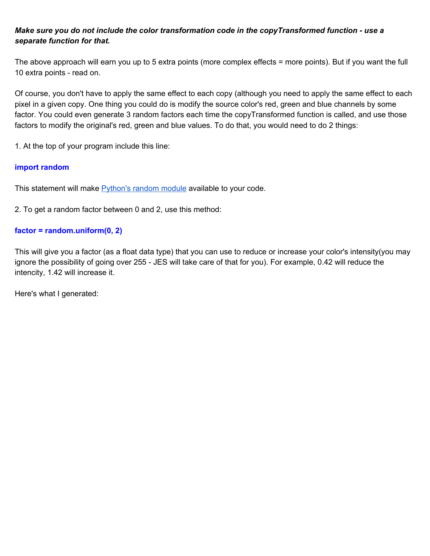### *Make sure you do not include the color transformation code in the copyTransformed function - use a separate function for that.*

The above approach will earn you up to 5 extra points (more complex effects = more points). But if you want the full 10 extra points - read on.

Of course, you don't have to apply the same effect to each copy (although you need to apply the same effect to each pixel in a given copy. One thing you could do is modify the source color's red, green and blue channels by some factor. You could even generate 3 random factors each time the copyTransformed function is called, and use those factors to modify the original's red, green and blue values. To do that, you would need to do 2 things:

1. At the top of your program include this line:

#### **import random**

This statement will make **Python's random module** available to your code.

2. To get a random factor between 0 and 2, use this method:

#### **factor = random.uniform(0, 2)**

This will give you a factor (as a float data type) that you can use to reduce or increase your color's intensity(you may ignore the possibility of going over 255 - JES will take care of that for you). For example, 0.42 will reduce the intencity, 1.42 will increase it.

Here's what I generated: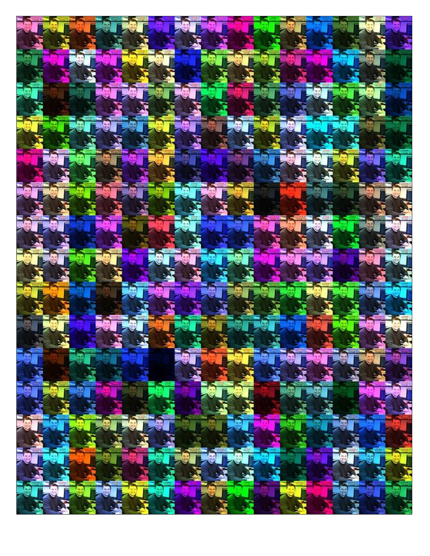